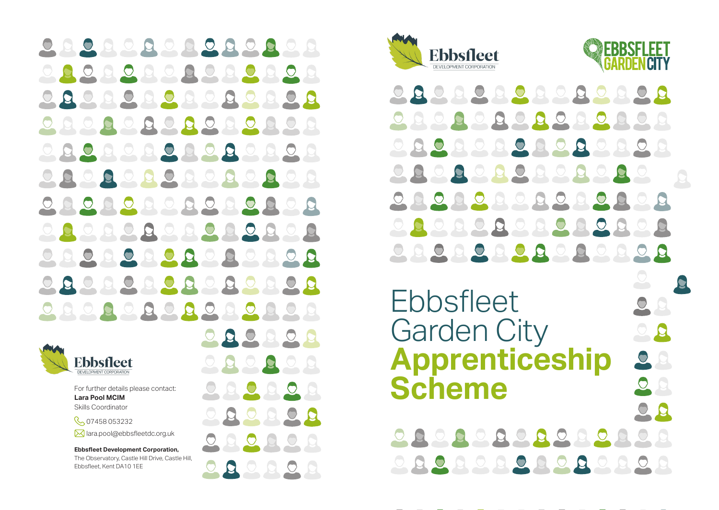OQQQQQQQQQQ  $\bigcirc$  $\overline{Q}$  $\overline{O}$ O JQ. R  $\circ$  $\overline{Q}$  $\Omega$  $\Omega$  $\circ$ **Q**  $\Omega$  $\circ$  $\bullet$  $\mathbf{Q}$  $\bigcirc$ JQ.  $\bigcirc$ E 0000  $\Omega$ E  $Q$  $\overline{Q}$  $\overline{O}$  $\overline{O}$  $\overline{O}$  $\overline{S}$ JQ.  $0.00$  $\overline{Q}$  $\mathbf{a}$ D D  $\Box$ **R**  $0.00000$  $\overline{Q}$  $\mathbf{C}$ **D**  $\circlearrowright$  $QQQQQQ$ **DO**  $\Omega$  $QQ$ **Q**  $\overline{O}$ 000000000  $\circ$ 

 $QQ$ 

 $Q$ 

D

 $QQQQ$ 



**Lara Pool** For further details please contact: Skills Coordinator

C<sub>2</sub>07458053232 M lara.pool@ebbsfleetdc.org.uk

**Ebbsfleet Development Corporation,** The Observatory, Castle Hill Drive, Castle Hill, Ebbsfleet, Kent DA10 1EE